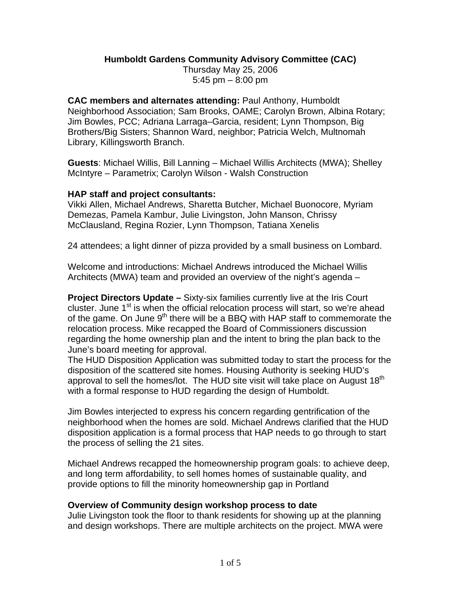### **Humboldt Gardens Community Advisory Committee (CAC)**

Thursday May 25, 2006 5:45 pm – 8:00 pm

**CAC members and alternates attending:** Paul Anthony, Humboldt Neighborhood Association; Sam Brooks, OAME; Carolyn Brown, Albina Rotary; Jim Bowles, PCC; Adriana Larraga–Garcia, resident; Lynn Thompson, Big Brothers/Big Sisters; Shannon Ward, neighbor; Patricia Welch, Multnomah Library, Killingsworth Branch.

**Guests**: Michael Willis, Bill Lanning – Michael Willis Architects (MWA); Shelley McIntyre – Parametrix; Carolyn Wilson - Walsh Construction

#### **HAP staff and project consultants:**

Vikki Allen, Michael Andrews, Sharetta Butcher, Michael Buonocore, Myriam Demezas, Pamela Kambur, Julie Livingston, John Manson, Chrissy McClausland, Regina Rozier, Lynn Thompson, Tatiana Xenelis

24 attendees; a light dinner of pizza provided by a small business on Lombard.

Welcome and introductions: Michael Andrews introduced the Michael Willis Architects (MWA) team and provided an overview of the night's agenda –

**Project Directors Update –** Sixty-six families currently live at the Iris Court cluster. June  $1<sup>st</sup>$  is when the official relocation process will start, so we're ahead of the game. On June  $9<sup>th</sup>$  there will be a BBQ with HAP staff to commemorate the relocation process. Mike recapped the Board of Commissioners discussion regarding the home ownership plan and the intent to bring the plan back to the June's board meeting for approval.

The HUD Disposition Application was submitted today to start the process for the disposition of the scattered site homes. Housing Authority is seeking HUD's approval to sell the homes/lot. The HUD site visit will take place on August 18<sup>th</sup> with a formal response to HUD regarding the design of Humboldt.

Jim Bowles interjected to express his concern regarding gentrification of the neighborhood when the homes are sold. Michael Andrews clarified that the HUD disposition application is a formal process that HAP needs to go through to start the process of selling the 21 sites.

Michael Andrews recapped the homeownership program goals: to achieve deep, and long term affordability, to sell homes homes of sustainable quality, and provide options to fill the minority homeownership gap in Portland

# **Overview of Community design workshop process to date**

Julie Livingston took the floor to thank residents for showing up at the planning and design workshops. There are multiple architects on the project. MWA were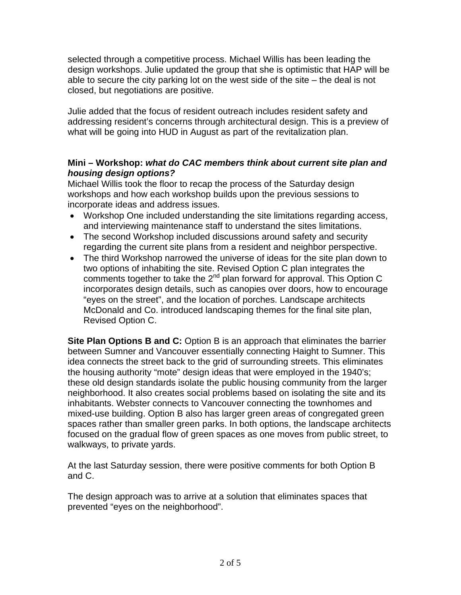selected through a competitive process. Michael Willis has been leading the design workshops. Julie updated the group that she is optimistic that HAP will be able to secure the city parking lot on the west side of the site – the deal is not closed, but negotiations are positive.

Julie added that the focus of resident outreach includes resident safety and addressing resident's concerns through architectural design. This is a preview of what will be going into HUD in August as part of the revitalization plan.

# **Mini – Workshop:** *what do CAC members think about current site plan and housing design options?*

Michael Willis took the floor to recap the process of the Saturday design workshops and how each workshop builds upon the previous sessions to incorporate ideas and address issues.

- Workshop One included understanding the site limitations regarding access, and interviewing maintenance staff to understand the sites limitations.
- The second Workshop included discussions around safety and security regarding the current site plans from a resident and neighbor perspective.
- The third Workshop narrowed the universe of ideas for the site plan down to two options of inhabiting the site. Revised Option C plan integrates the comments together to take the 2<sup>nd</sup> plan forward for approval. This Option C incorporates design details, such as canopies over doors, how to encourage "eyes on the street", and the location of porches. Landscape architects McDonald and Co. introduced landscaping themes for the final site plan, Revised Option C.

**Site Plan Options B and C:** Option B is an approach that eliminates the barrier between Sumner and Vancouver essentially connecting Haight to Sumner. This idea connects the street back to the grid of surrounding streets. This eliminates the housing authority "mote" design ideas that were employed in the 1940's; these old design standards isolate the public housing community from the larger neighborhood. It also creates social problems based on isolating the site and its inhabitants. Webster connects to Vancouver connecting the townhomes and mixed-use building. Option B also has larger green areas of congregated green spaces rather than smaller green parks. In both options, the landscape architects focused on the gradual flow of green spaces as one moves from public street, to walkways, to private yards.

At the last Saturday session, there were positive comments for both Option B and C.

The design approach was to arrive at a solution that eliminates spaces that prevented "eyes on the neighborhood".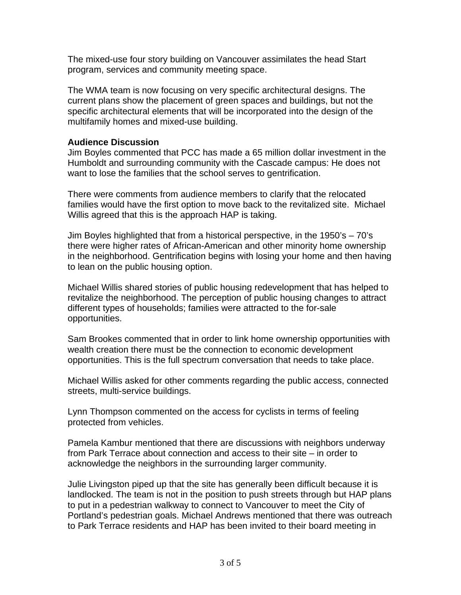The mixed-use four story building on Vancouver assimilates the head Start program, services and community meeting space.

The WMA team is now focusing on very specific architectural designs. The current plans show the placement of green spaces and buildings, but not the specific architectural elements that will be incorporated into the design of the multifamily homes and mixed-use building.

#### **Audience Discussion**

Jim Boyles commented that PCC has made a 65 million dollar investment in the Humboldt and surrounding community with the Cascade campus: He does not want to lose the families that the school serves to gentrification.

There were comments from audience members to clarify that the relocated families would have the first option to move back to the revitalized site. Michael Willis agreed that this is the approach HAP is taking.

Jim Boyles highlighted that from a historical perspective, in the 1950's – 70's there were higher rates of African-American and other minority home ownership in the neighborhood. Gentrification begins with losing your home and then having to lean on the public housing option.

Michael Willis shared stories of public housing redevelopment that has helped to revitalize the neighborhood. The perception of public housing changes to attract different types of households; families were attracted to the for-sale opportunities.

Sam Brookes commented that in order to link home ownership opportunities with wealth creation there must be the connection to economic development opportunities. This is the full spectrum conversation that needs to take place.

Michael Willis asked for other comments regarding the public access, connected streets, multi-service buildings.

Lynn Thompson commented on the access for cyclists in terms of feeling protected from vehicles.

Pamela Kambur mentioned that there are discussions with neighbors underway from Park Terrace about connection and access to their site – in order to acknowledge the neighbors in the surrounding larger community.

Julie Livingston piped up that the site has generally been difficult because it is landlocked. The team is not in the position to push streets through but HAP plans to put in a pedestrian walkway to connect to Vancouver to meet the City of Portland's pedestrian goals. Michael Andrews mentioned that there was outreach to Park Terrace residents and HAP has been invited to their board meeting in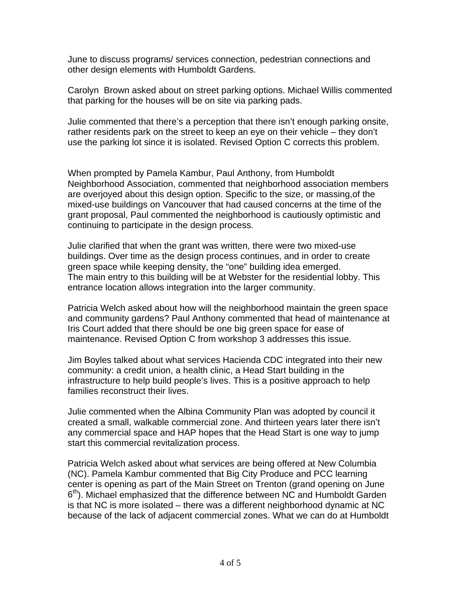June to discuss programs/ services connection, pedestrian connections and other design elements with Humboldt Gardens.

Carolyn Brown asked about on street parking options. Michael Willis commented that parking for the houses will be on site via parking pads.

Julie commented that there's a perception that there isn't enough parking onsite, rather residents park on the street to keep an eye on their vehicle – they don't use the parking lot since it is isolated. Revised Option C corrects this problem.

When prompted by Pamela Kambur, Paul Anthony, from Humboldt Neighborhood Association, commented that neighborhood association members are overjoyed about this design option. Specific to the size, or massing,of the mixed-use buildings on Vancouver that had caused concerns at the time of the grant proposal, Paul commented the neighborhood is cautiously optimistic and continuing to participate in the design process.

Julie clarified that when the grant was written, there were two mixed-use buildings. Over time as the design process continues, and in order to create green space while keeping density, the "one" building idea emerged. The main entry to this building will be at Webster for the residential lobby. This entrance location allows integration into the larger community.

Patricia Welch asked about how will the neighborhood maintain the green space and community gardens? Paul Anthony commented that head of maintenance at Iris Court added that there should be one big green space for ease of maintenance. Revised Option C from workshop 3 addresses this issue.

Jim Boyles talked about what services Hacienda CDC integrated into their new community: a credit union, a health clinic, a Head Start building in the infrastructure to help build people's lives. This is a positive approach to help families reconstruct their lives.

Julie commented when the Albina Community Plan was adopted by council it created a small, walkable commercial zone. And thirteen years later there isn't any commercial space and HAP hopes that the Head Start is one way to jump start this commercial revitalization process.

Patricia Welch asked about what services are being offered at New Columbia (NC). Pamela Kambur commented that Big City Produce and PCC learning center is opening as part of the Main Street on Trenton (grand opening on June  $6<sup>th</sup>$ ). Michael emphasized that the difference between NC and Humboldt Garden is that NC is more isolated – there was a different neighborhood dynamic at NC because of the lack of adjacent commercial zones. What we can do at Humboldt